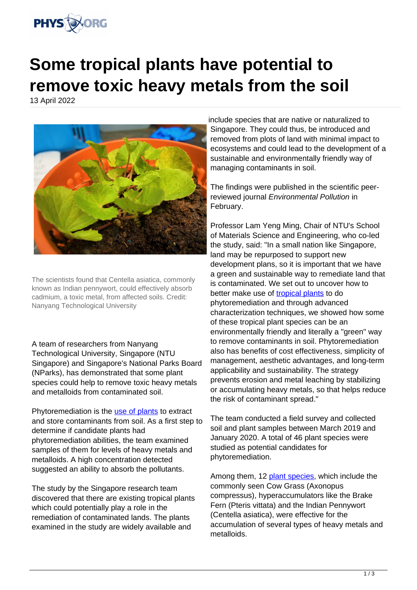

## **Some tropical plants have potential to remove toxic heavy metals from the soil**

13 April 2022



The scientists found that Centella asiatica, commonly known as Indian pennywort, could effectively absorb cadmium, a toxic metal, from affected soils. Credit: Nanyang Technological University

A team of researchers from Nanyang Technological University, Singapore (NTU Singapore) and Singapore's National Parks Board (NParks), has demonstrated that some plant species could help to remove toxic heavy metals and metalloids from contaminated soil.

Phytoremediation is the [use of plants](https://phys.org/tags/use+of+plants/) to extract and store contaminants from soil. As a first step to determine if candidate plants had phytoremediation abilities, the team examined samples of them for levels of heavy metals and metalloids. A high concentration detected suggested an ability to absorb the pollutants.

The study by the Singapore research team discovered that there are existing tropical plants which could potentially play a role in the remediation of contaminated lands. The plants examined in the study are widely available and

include species that are native or naturalized to Singapore. They could thus, be introduced and removed from plots of land with minimal impact to ecosystems and could lead to the development of a sustainable and environmentally friendly way of managing contaminants in soil.

The findings were published in the scientific peerreviewed journal Environmental Pollution in February.

Professor Lam Yeng Ming, Chair of NTU's School of Materials Science and Engineering, who co-led the study, said: "In a small nation like Singapore, land may be repurposed to support new development plans, so it is important that we have a green and sustainable way to remediate land that is contaminated. We set out to uncover how to better make use of [tropical plants](https://phys.org/tags/tropical+plants/) to do phytoremediation and through advanced characterization techniques, we showed how some of these tropical plant species can be an environmentally friendly and literally a "green" way to remove contaminants in soil. Phytoremediation also has benefits of cost effectiveness, simplicity of management, aesthetic advantages, and long-term applicability and sustainability. The strategy prevents erosion and metal leaching by stabilizing or accumulating heavy metals, so that helps reduce the risk of contaminant spread."

The team conducted a field survey and collected soil and plant samples between March 2019 and January 2020. A total of 46 plant species were studied as potential candidates for phytoremediation.

Among them, 12 [plant species](https://phys.org/tags/plant+species/), which include the commonly seen Cow Grass (Axonopus compressus), hyperaccumulators like the Brake Fern (Pteris vittata) and the Indian Pennywort (Centella asiatica), were effective for the accumulation of several types of heavy metals and metalloids.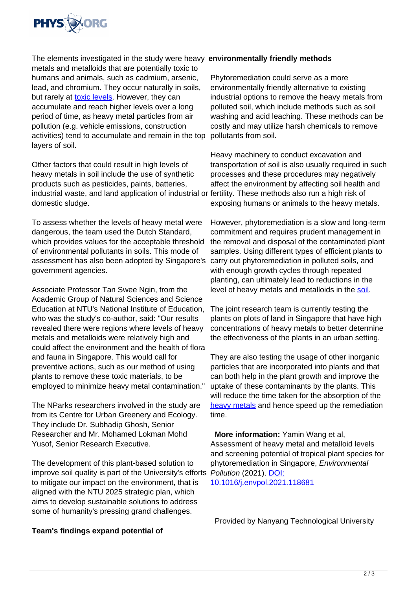

metals and metalloids that are potentially toxic to humans and animals, such as cadmium, arsenic, lead, and chromium. They occur naturally in soils, but rarely at [toxic levels](https://phys.org/tags/toxic+levels/). However, they can accumulate and reach higher levels over a long period of time, as heavy metal particles from air pollution (e.g. vehicle emissions, construction activities) tend to accumulate and remain in the top layers of soil.

Other factors that could result in high levels of heavy metals in soil include the use of synthetic products such as pesticides, paints, batteries, industrial waste, and land application of industrial or fertility. These methods also run a high risk of domestic sludge.

To assess whether the levels of heavy metal were dangerous, the team used the Dutch Standard, which provides values for the acceptable threshold of environmental pollutants in soils. This mode of assessment has also been adopted by Singapore's government agencies.

Associate Professor Tan Swee Ngin, from the Academic Group of Natural Sciences and Science Education at NTU's National Institute of Education, who was the study's co-author, said: "Our results revealed there were regions where levels of heavy metals and metalloids were relatively high and could affect the environment and the health of flora and fauna in Singapore. This would call for preventive actions, such as our method of using plants to remove these toxic materials, to be employed to minimize heavy metal contamination."

The NParks researchers involved in the study are from its Centre for Urban Greenery and Ecology. They include Dr. Subhadip Ghosh, Senior Researcher and Mr. Mohamed Lokman Mohd Yusof, Senior Research Executive.

The development of this plant-based solution to improve soil quality is part of the University's efforts to mitigate our impact on the environment, that is aligned with the NTU 2025 strategic plan, which aims to develop sustainable solutions to address some of humanity's pressing grand challenges.

## The elements investigated in the study were heavy **environmentally friendly methods**

Phytoremediation could serve as a more environmentally friendly alternative to existing industrial options to remove the heavy metals from polluted soil, which include methods such as soil washing and acid leaching. These methods can be costly and may utilize harsh chemicals to remove pollutants from soil.

Heavy machinery to conduct excavation and transportation of soil is also usually required in such processes and these procedures may negatively affect the environment by affecting soil health and exposing humans or animals to the heavy metals.

However, phytoremediation is a slow and long-term commitment and requires prudent management in the removal and disposal of the contaminated plant samples. Using different types of efficient plants to carry out phytoremediation in polluted soils, and with enough growth cycles through repeated planting, can ultimately lead to reductions in the level of heavy metals and metalloids in the [soil.](https://phys.org/tags/soil/)

The joint research team is currently testing the plants on plots of land in Singapore that have high concentrations of heavy metals to better determine the effectiveness of the plants in an urban setting.

They are also testing the usage of other inorganic particles that are incorporated into plants and that can both help in the plant growth and improve the uptake of these contaminants by the plants. This will reduce the time taken for the absorption of the [heavy metals](https://phys.org/tags/heavy+metals/) and hence speed up the remediation time.

 **More information:** Yamin Wang et al, Assessment of heavy metal and metalloid levels and screening potential of tropical plant species for phytoremediation in Singapore, Environmental Pollution (2021). [DOI:](https://dx.doi.org/10.1016/j.envpol.2021.118681)

[10.1016/j.envpol.2021.118681](https://dx.doi.org/10.1016/j.envpol.2021.118681)

Provided by Nanyang Technological University

## **Team's findings expand potential of**